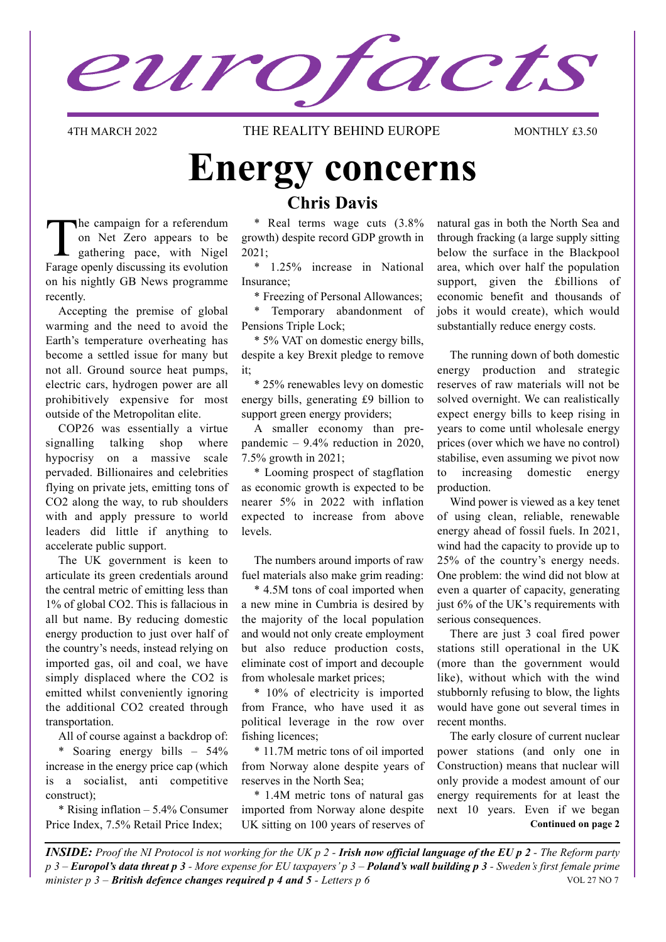eurofacts

4TH MARCH 2022 **THE REALITY BEHIND EUROPE** MONTHLY £3.50

### **Energy concerns Chris Davis**

The campaign for a referendum on Net Zero appears to be gathering pace, with Nigel Farage openly discussing its evolution on his nightly GB News programme recently.

Accepting the premise of global warming and the need to avoid the Earth's temperature overheating has become a settled issue for many but not all. Ground source heat pumps, electric cars, hydrogen power are all prohibitively expensive for most outside of the Metropolitan elite.

COP26 was essentially a virtue signalling talking shop where hypocrisy on a massive scale pervaded. Billionaires and celebrities flying on private jets, emitting tons of CO2 along the way, to rub shoulders with and apply pressure to world leaders did little if anything to accelerate public support.

The UK government is keen to articulate its green credentials around the central metric of emitting less than 1% of global CO2. This is fallacious in all but name. By reducing domestic energy production to just over half of the country's needs, instead relying on imported gas, oil and coal, we have simply displaced where the CO2 is emitted whilst conveniently ignoring the additional CO2 created through transportation.

All of course against a backdrop of:

\* Soaring energy bills – 54% increase in the energy price cap (which is a socialist, anti competitive construct);

\* Rising inflation – 5.4% Consumer Price Index, 7.5% Retail Price Index;

\* Real terms wage cuts (3.8% growth) despite record GDP growth in 2021;

\* 1.25% increase in National Insurance;

\* Freezing of Personal Allowances;

\* Temporary abandonment of Pensions Triple Lock;

\* 5% VAT on domestic energy bills, despite a key Brexit pledge to remove it;

\* 25% renewables levy on domestic energy bills, generating £9 billion to support green energy providers;

A smaller economy than prepandemic – 9.4% reduction in 2020, 7.5% growth in 2021;

\* Looming prospect of stagflation as economic growth is expected to be nearer 5% in 2022 with inflation expected to increase from above levels.

The numbers around imports of raw fuel materials also make grim reading:

\* 4.5M tons of coal imported when a new mine in Cumbria is desired by the majority of the local population and would not only create employment but also reduce production costs, eliminate cost of import and decouple from wholesale market prices;

\* 10% of electricity is imported from France, who have used it as political leverage in the row over fishing licences;

\* 11.7M metric tons of oil imported from Norway alone despite years of reserves in the North Sea;

\* 1.4M metric tons of natural gas imported from Norway alone despite UK sitting on 100 years of reserves of

natural gas in both the North Sea and through fracking (a large supply sitting below the surface in the Blackpool area, which over half the population support, given the £billions of economic benefit and thousands of jobs it would create), which would substantially reduce energy costs.

The running down of both domestic energy production and strategic reserves of raw materials will not be solved overnight. We can realistically expect energy bills to keep rising in years to come until wholesale energy prices (over which we have no control) stabilise, even assuming we pivot now to increasing domestic energy production.

Wind power is viewed as a key tenet of using clean, reliable, renewable energy ahead of fossil fuels. In 2021, wind had the capacity to provide up to 25% of the country's energy needs. One problem: the wind did not blow at even a quarter of capacity, generating just 6% of the UK's requirements with serious consequences.

There are just 3 coal fired power stations still operational in the UK (more than the government would like), without which with the wind stubbornly refusing to blow, the lights would have gone out several times in recent months.

The early closure of current nuclear power stations (and only one in Construction) means that nuclear will only provide a modest amount of our energy requirements for at least the next 10 years. Even if we began **Continued on page 2**

*INSIDE: Proof the NI Protocol is not working for the UK p 2 - Irish now official language of the EU p 2 - The Reform party p 3 – Europol's data threat p 3 - More expense for EU taxpayers' p 3 – Poland's wall building p 3 - Sweden's first female prime minister p 3 – British defence changes required p 4 and 5*  $\sim$  *<i>Letters p 6* VOL 27 NO 7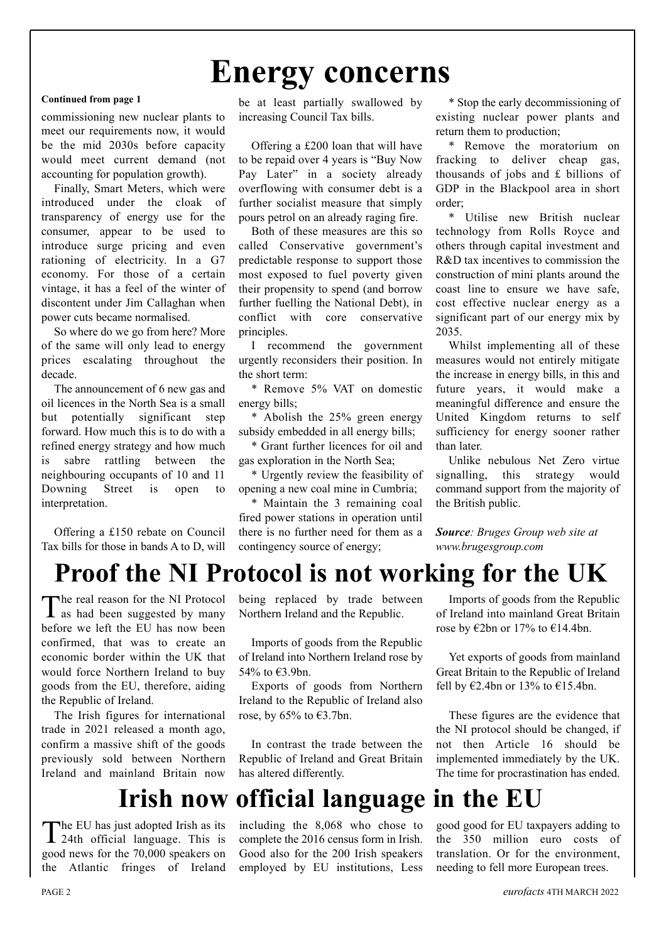# **Energy concerns**

#### **Continued from page 1**

commissioning new nuclear plants to meet our requirements now, it would be the mid 2030s before capacity would meet current demand (not accounting for population growth).

Finally, Smart Meters, which were introduced under the cloak of transparency of energy use for the consumer, appear to be used to introduce surge pricing and even rationing of electricity. In a G7 economy. For those of a certain vintage, it has a feel of the winter of discontent under Jim Callaghan when power cuts became normalised.

So where do we go from here? More of the same will only lead to energy prices escalating throughout the decade.

The announcement of 6 new gas and oil licences in the North Sea is a small but potentially significant step forward. How much this is to do with a refined energy strategy and how much is sabre rattling between the neighbouring occupants of 10 and 11 Downing Street is open to interpretation.

Offering a £150 rebate on Council Tax bills for those in bands A to D, will

be at least partially swallowed by increasing Council Tax bills.

Offering a £200 loan that will have to be repaid over 4 years is "Buy Now Pay Later" in a society already overflowing with consumer debt is a further socialist measure that simply pours petrol on an already raging fire.

Both of these measures are this so called Conservative government's predictable response to support those most exposed to fuel poverty given their propensity to spend (and borrow further fuelling the National Debt), in conflict with core conservative principles.

I recommend the government urgently reconsiders their position. In the short term:

\* Remove 5% VAT on domestic energy bills;

\* Abolish the 25% green energy subsidy embedded in all energy bills;

\* Grant further licences for oil and gas exploration in the North Sea;

\* Urgently review the feasibility of opening a new coal mine in Cumbria;

\* Maintain the 3 remaining coal fired power stations in operation until there is no further need for them as a contingency source of energy;

\* Stop the early decommissioning of existing nuclear power plants and return them to production;

\* Remove the moratorium on fracking to deliver cheap gas, thousands of jobs and £ billions of GDP in the Blackpool area in short order;

\* Utilise new British nuclear technology from Rolls Royce and others through capital investment and R&D tax incentives to commission the construction of mini plants around the coast line to ensure we have safe, cost effective nuclear energy as a significant part of our energy mix by 2035.

Whilst implementing all of these measures would not entirely mitigate the increase in energy bills, in this and future years, it would make a meaningful difference and ensure the United Kingdom returns to self sufficiency for energy sooner rather than later.

Unlike nebulous Net Zero virtue signalling, this strategy would command support from the majority of the British public.

*Source: Bruges Group web site at www.brugesgroup.com*

### **Proof the NI Protocol is not working for the UK**

The real reason for the NI Protocol as had been suggested by many before we left the EU has now been confirmed, that was to create an economic border within the UK that would force Northern Ireland to buy goods from the EU, therefore, aiding the Republic of Ireland.

The Irish figures for international trade in 2021 released a month ago, confirm a massive shift of the goods previously sold between Northern Ireland and mainland Britain now being replaced by trade between Northern Ireland and the Republic.

Imports of goods from the Republic of Ireland into Northern Ireland rose by 54% to €3.9bn.

Exports of goods from Northern Ireland to the Republic of Ireland also rose, by 65% to  $\epsilon$ 3.7bn.

In contrast the trade between the Republic of Ireland and Great Britain has altered differently.

### **Irish now official language in the EU**

The EU has just adopted Irish as its 24th official language. This is good news for the 70,000 speakers on the Atlantic fringes of Ireland

including the 8,068 who chose to complete the 2016 census form in Irish. Good also for the 200 Irish speakers employed by EU institutions, Less

Imports of goods from the Republic of Ireland into mainland Great Britain rose by  $\epsilon$ 2bn or 17% to  $\epsilon$ 14.4bn.

Yet exports of goods from mainland Great Britain to the Republic of Ireland fell by  $\epsilon$ 2.4bn or 13% to  $\epsilon$ 15.4bn.

These figures are the evidence that the NI protocol should be changed, if not then Article 16 should be implemented immediately by the UK. The time for procrastination has ended.

good good for EU taxpayers adding to the 350 million euro costs of translation. Or for the environment, needing to fell more European trees.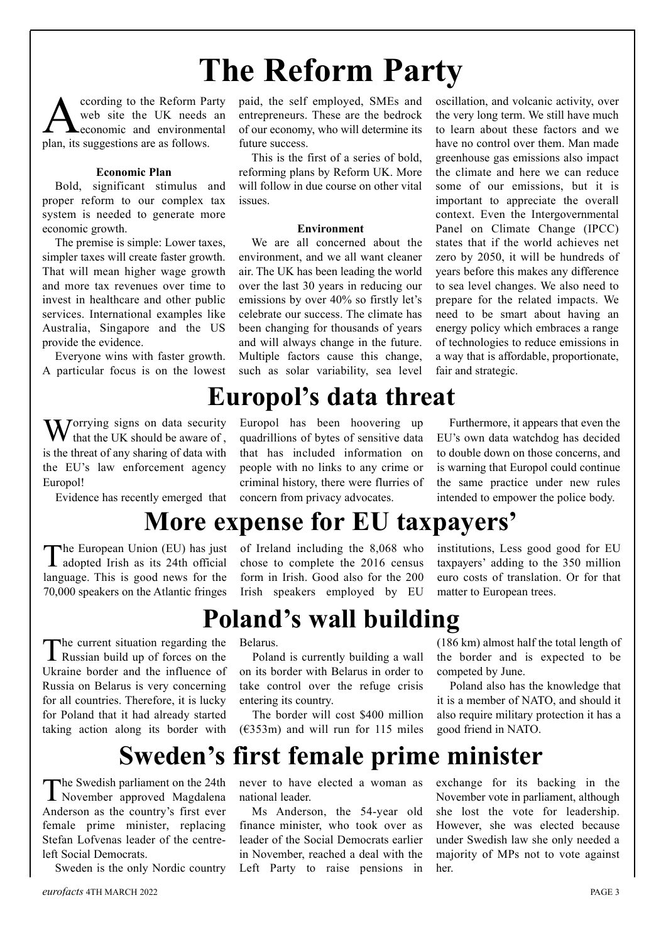# **The Reform Party**

Coording to the Reform Party<br>web site the UK needs an<br>economic and environmental web site the UK needs an economic and environmental plan, its suggestions are as follows.

#### **Economic Plan**

Bold, significant stimulus and proper reform to our complex tax system is needed to generate more economic growth.

The premise is simple: Lower taxes, simpler taxes will create faster growth. That will mean higher wage growth and more tax revenues over time to invest in healthcare and other public services. International examples like Australia, Singapore and the US provide the evidence.

Everyone wins with faster growth. A particular focus is on the lowest

 $\mathbf{W}$  orrying signs on data security that the UK should be aware of , is the threat of any sharing of data with the EU's law enforcement agency Europol!

Evidence has recently emerged that

paid, the self employed, SMEs and entrepreneurs. These are the bedrock of our economy, who will determine its future success.

This is the first of a series of bold, reforming plans by Reform UK. More will follow in due course on other vital issues.

#### **Environment**

We are all concerned about the environment, and we all want cleaner air. The UK has been leading the world over the last 30 years in reducing our emissions by over 40% so firstly let's celebrate our success. The climate has been changing for thousands of years and will always change in the future. Multiple factors cause this change, such as solar variability, sea level

### **Europol's data threat**

Europol has been hoovering up quadrillions of bytes of sensitive data that has included information on people with no links to any crime or criminal history, there were flurries of concern from privacy advocates.

oscillation, and volcanic activity, over the very long term. We still have much to learn about these factors and we have no control over them. Man made greenhouse gas emissions also impact the climate and here we can reduce some of our emissions, but it is important to appreciate the overall context. Even the Intergovernmental Panel on Climate Change (IPCC) states that if the world achieves net zero by 2050, it will be hundreds of years before this makes any difference to sea level changes. We also need to prepare for the related impacts. We need to be smart about having an energy policy which embraces a range of technologies to reduce emissions in a way that is affordable, proportionate, fair and strategic.

Furthermore, it appears that even the EU's own data watchdog has decided to double down on those concerns, and is warning that Europol could continue the same practice under new rules intended to empower the police body.

### **More expense for EU taxpayers'**

The European Union (EU) has just adopted Irish as its 24th official language. This is good news for the 70,000 speakers on the Atlantic fringes

The current situation regarding the Russian build up of forces on the Ukraine border and the influence of Russia on Belarus is very concerning for all countries. Therefore, it is lucky for Poland that it had already started taking action along its border with of Ireland including the 8,068 who chose to complete the 2016 census form in Irish. Good also for the 200 Irish speakers employed by EU institutions, Less good good for EU taxpayers' adding to the 350 million euro costs of translation. Or for that matter to European trees.

### **Poland's wall building**

Belarus.

Poland is currently building a wall on its border with Belarus in order to take control over the refuge crisis entering its country.

The border will cost \$400 million  $(6353m)$  and will run for 115 miles

(186 km) almost half the total length of the border and is expected to be competed by June.

Poland also has the knowledge that it is a member of NATO, and should it also require military protection it has a good friend in NATO.

### **Sweden's first female prime minister**

The Swedish parliament on the 24th November approved Magdalena Anderson as the country's first ever female prime minister, replacing Stefan Lofvenas leader of the centreleft Social Democrats.

Sweden is the only Nordic country

never to have elected a woman as national leader.

Ms Anderson, the 54-year old finance minister, who took over as leader of the Social Democrats earlier in November, reached a deal with the Left Party to raise pensions in

exchange for its backing in the November vote in parliament, although she lost the vote for leadership. However, she was elected because under Swedish law she only needed a majority of MPs not to vote against her.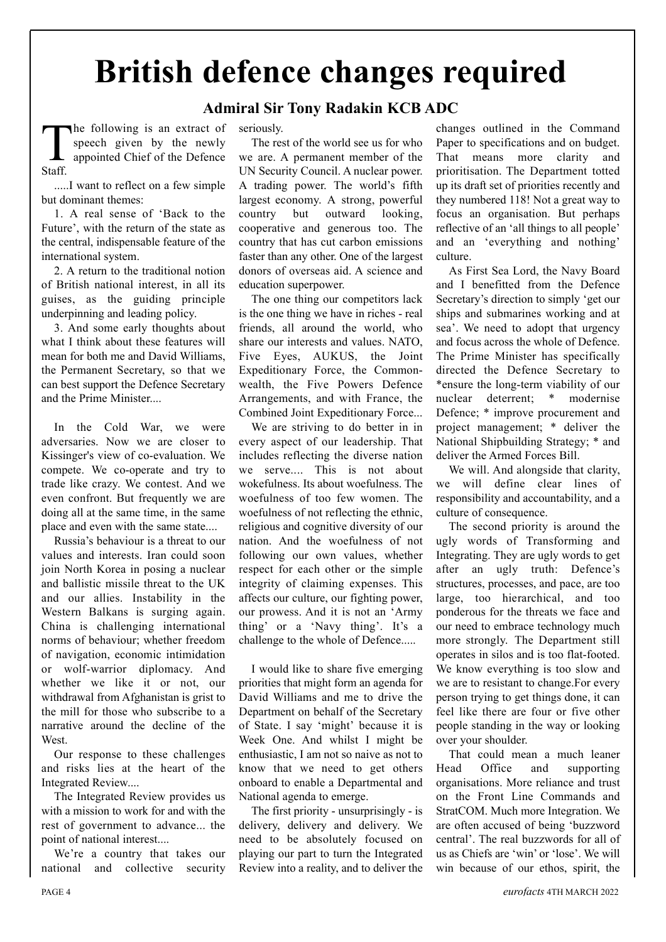# **British defence changes required**

### **Admiral Sir Tony Radakin KCB ADC**

The following is an extract of speech given by the newly appointed Chief of the Defence Staff.

.....I want to reflect on a few simple but dominant themes:

1. A real sense of 'Back to the Future', with the return of the state as the central, indispensable feature of the international system.

2. A return to the traditional notion of British national interest, in all its guises, as the guiding principle underpinning and leading policy.

3. And some early thoughts about what I think about these features will mean for both me and David Williams the Permanent Secretary, so that we can best support the Defence Secretary and the Prime Minister....

In the Cold War, we were adversaries. Now we are closer to Kissinger's view of co-evaluation. We compete. We co-operate and try to trade like crazy. We contest. And we even confront. But frequently we are doing all at the same time, in the same place and even with the same state....

Russia's behaviour is a threat to our values and interests. Iran could soon join North Korea in posing a nuclear and ballistic missile threat to the UK and our allies. Instability in the Western Balkans is surging again. China is challenging international norms of behaviour; whether freedom of navigation, economic intimidation or wolf-warrior diplomacy. And whether we like it or not, our withdrawal from Afghanistan is grist to the mill for those who subscribe to a narrative around the decline of the West.

Our response to these challenges and risks lies at the heart of the Integrated Review....

The Integrated Review provides us with a mission to work for and with the rest of government to advance... the point of national interest....

We're a country that takes our national and collective security

seriously.

The rest of the world see us for who we are. A permanent member of the UN Security Council. A nuclear power. A trading power. The world's fifth largest economy. A strong, powerful country but outward looking, cooperative and generous too. The country that has cut carbon emissions faster than any other. One of the largest donors of overseas aid. A science and education superpower.

The one thing our competitors lack is the one thing we have in riches - real friends, all around the world, who share our interests and values. NATO, Five Eyes, AUKUS, the Joint Expeditionary Force, the Commonwealth, the Five Powers Defence Arrangements, and with France, the Combined Joint Expeditionary Force...

We are striving to do better in in every aspect of our leadership. That includes reflecting the diverse nation we serve.... This is not about wokefulness. Its about woefulness. The woefulness of too few women. The woefulness of not reflecting the ethnic, religious and cognitive diversity of our nation. And the woefulness of not following our own values, whether respect for each other or the simple integrity of claiming expenses. This affects our culture, our fighting power, our prowess. And it is not an 'Army thing' or a 'Navy thing'. It's a challenge to the whole of Defence.....

I would like to share five emerging priorities that might form an agenda for David Williams and me to drive the Department on behalf of the Secretary of State. I say 'might' because it is Week One. And whilst I might be enthusiastic, I am not so naive as not to know that we need to get others onboard to enable a Departmental and National agenda to emerge.

The first priority - unsurprisingly - is delivery, delivery and delivery. We need to be absolutely focused on playing our part to turn the Integrated Review into a reality, and to deliver the changes outlined in the Command Paper to specifications and on budget. That means more clarity and prioritisation. The Department totted up its draft set of priorities recently and they numbered 118! Not a great way to focus an organisation. But perhaps reflective of an 'all things to all people' and an 'everything and nothing' culture.

As First Sea Lord, the Navy Board and I benefitted from the Defence Secretary's direction to simply 'get our ships and submarines working and at sea'. We need to adopt that urgency and focus across the whole of Defence. The Prime Minister has specifically directed the Defence Secretary to \*ensure the long-term viability of our nuclear deterrent; \* modernise Defence; \* improve procurement and project management; \* deliver the National Shipbuilding Strategy; \* and deliver the Armed Forces Bill.

We will. And alongside that clarity, we will define clear lines of responsibility and accountability, and a culture of consequence.

The second priority is around the ugly words of Transforming and Integrating. They are ugly words to get after an ugly truth: Defence's structures, processes, and pace, are too large, too hierarchical, and too ponderous for the threats we face and our need to embrace technology much more strongly. The Department still operates in silos and is too flat-footed. We know everything is too slow and we are to resistant to change.For every person trying to get things done, it can feel like there are four or five other people standing in the way or looking over your shoulder.

That could mean a much leaner Head Office and supporting organisations. More reliance and trust on the Front Line Commands and StratCOM. Much more Integration. We are often accused of being 'buzzword central'. The real buzzwords for all of us as Chiefs are 'win' or 'lose'. We will win because of our ethos, spirit, the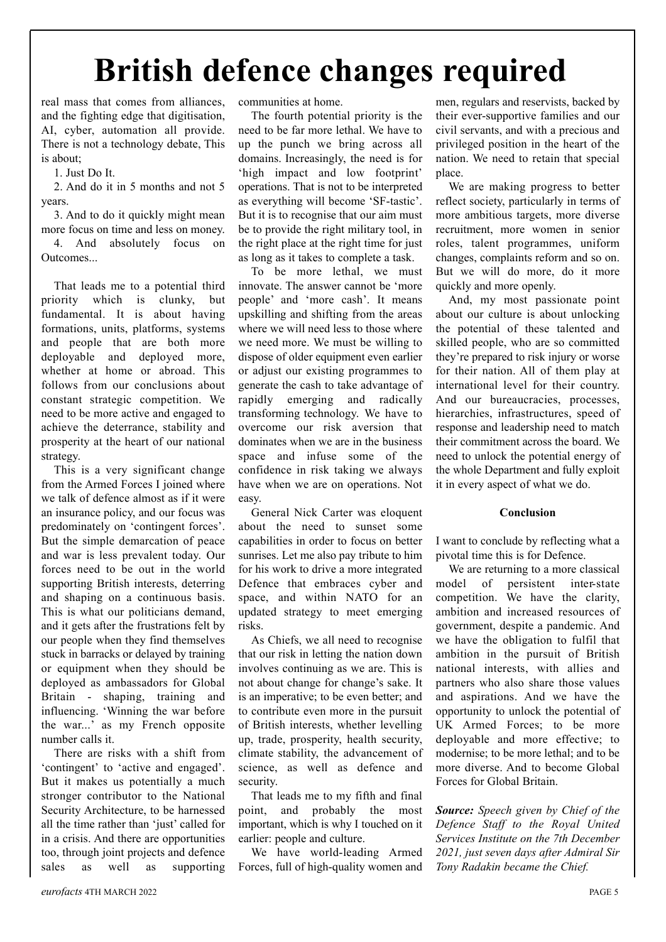# **British defence changes required**

real mass that comes from alliances, and the fighting edge that digitisation, AI, cyber, automation all provide. There is not a technology debate, This is about;

1. Just Do It.

2. And do it in 5 months and not 5 years.

3. And to do it quickly might mean more focus on time and less on money. 4. And absolutely focus on Outcomes...

That leads me to a potential third priority which is clunky, but fundamental. It is about having formations, units, platforms, systems and people that are both more deployable and deployed more, whether at home or abroad. This follows from our conclusions about constant strategic competition. We need to be more active and engaged to achieve the deterrance, stability and prosperity at the heart of our national strategy.

This is a very significant change from the Armed Forces I joined where we talk of defence almost as if it were an insurance policy, and our focus was predominately on 'contingent forces'. But the simple demarcation of peace and war is less prevalent today. Our forces need to be out in the world supporting British interests, deterring and shaping on a continuous basis. This is what our politicians demand, and it gets after the frustrations felt by our people when they find themselves stuck in barracks or delayed by training or equipment when they should be deployed as ambassadors for Global Britain - shaping, training and influencing. 'Winning the war before the war...' as my French opposite number calls it.

There are risks with a shift from 'contingent' to 'active and engaged'. But it makes us potentially a much stronger contributor to the National Security Architecture, to be harnessed all the time rather than 'just' called for in a crisis. And there are opportunities too, through joint projects and defence sales as well as supporting communities at home.

The fourth potential priority is the need to be far more lethal. We have to up the punch we bring across all domains. Increasingly, the need is for 'high impact and low footprint' operations. That is not to be interpreted as everything will become 'SF-tastic'. But it is to recognise that our aim must be to provide the right military tool, in the right place at the right time for just as long as it takes to complete a task.

To be more lethal, we must innovate. The answer cannot be 'more people' and 'more cash'. It means upskilling and shifting from the areas where we will need less to those where we need more. We must be willing to dispose of older equipment even earlier or adjust our existing programmes to generate the cash to take advantage of rapidly emerging and radically transforming technology. We have to overcome our risk aversion that dominates when we are in the business space and infuse some of the confidence in risk taking we always have when we are on operations. Not easy.

General Nick Carter was eloquent about the need to sunset some capabilities in order to focus on better sunrises. Let me also pay tribute to him for his work to drive a more integrated Defence that embraces cyber and space, and within NATO for an updated strategy to meet emerging risks.

As Chiefs, we all need to recognise that our risk in letting the nation down involves continuing as we are. This is not about change for change's sake. It is an imperative; to be even better; and to contribute even more in the pursuit of British interests, whether levelling up, trade, prosperity, health security, climate stability, the advancement of science, as well as defence and security.

That leads me to my fifth and final point, and probably the most important, which is why I touched on it earlier: people and culture.

We have world-leading Armed Forces, full of high-quality women and

men, regulars and reservists, backed by their ever-supportive families and our civil servants, and with a precious and privileged position in the heart of the nation. We need to retain that special place.

We are making progress to better reflect society, particularly in terms of more ambitious targets, more diverse recruitment, more women in senior roles, talent programmes, uniform changes, complaints reform and so on. But we will do more, do it more quickly and more openly.

And, my most passionate point about our culture is about unlocking the potential of these talented and skilled people, who are so committed they're prepared to risk injury or worse for their nation. All of them play at international level for their country. And our bureaucracies, processes, hierarchies, infrastructures, speed of response and leadership need to match their commitment across the board. We need to unlock the potential energy of the whole Department and fully exploit it in every aspect of what we do.

#### **Conclusion**

I want to conclude by reflecting what a pivotal time this is for Defence.

We are returning to a more classical model of persistent inter-state competition. We have the clarity, ambition and increased resources of government, despite a pandemic. And we have the obligation to fulfil that ambition in the pursuit of British national interests, with allies and partners who also share those values and aspirations. And we have the opportunity to unlock the potential of UK Armed Forces; to be more deployable and more effective; to modernise; to be more lethal; and to be more diverse. And to become Global Forces for Global Britain.

*Source: Speech given by Chief of the Defence Staff to the Royal United Services Institute on the 7th December 2021, just seven days after Admiral Sir Tony Radakin became the Chief.*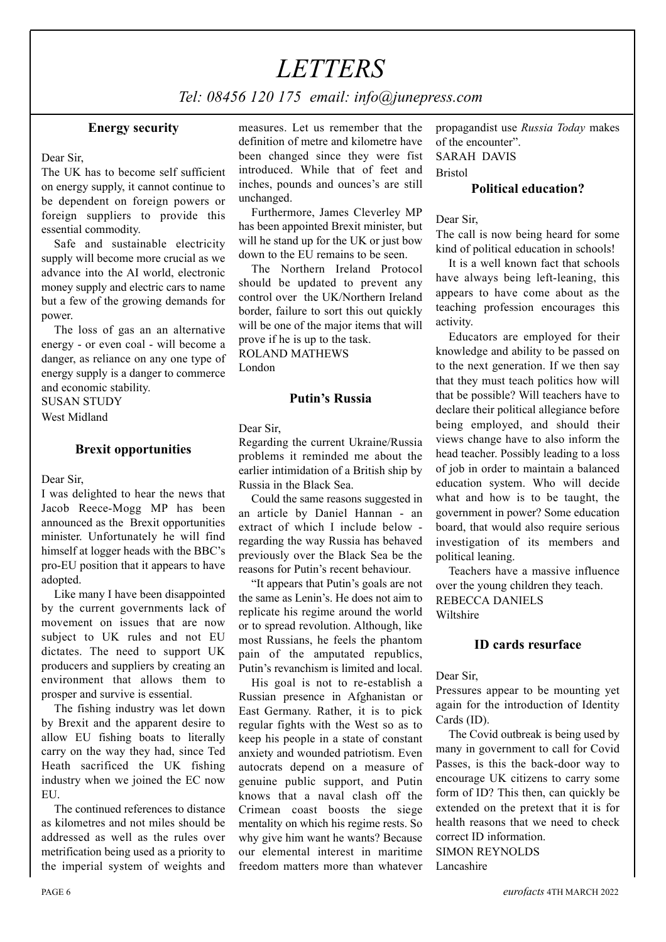### *LETTERS*

*Tel: 08456 120 175 email: info@junepress.com*

#### **Energy security**

#### Dear Sir,

The UK has to become self sufficient on energy supply, it cannot continue to be dependent on foreign powers or foreign suppliers to provide this essential commodity.

Safe and sustainable electricity supply will become more crucial as we advance into the AI world, electronic money supply and electric cars to name but a few of the growing demands for power.

The loss of gas an an alternative energy - or even coal - will become a danger, as reliance on any one type of energy supply is a danger to commerce and economic stability.

SUSAN STUDY

West Midland

#### **Brexit opportunities**

Dear Sir,

I was delighted to hear the news that Jacob Reece-Mogg MP has been announced as the Brexit opportunities minister. Unfortunately he will find himself at logger heads with the BBC's pro-EU position that it appears to have adopted.

Like many I have been disappointed by the current governments lack of movement on issues that are now subject to UK rules and not EU dictates. The need to support UK producers and suppliers by creating an environment that allows them to prosper and survive is essential.

The fishing industry was let down by Brexit and the apparent desire to allow EU fishing boats to literally carry on the way they had, since Ted Heath sacrificed the UK fishing industry when we joined the EC now EU.

The continued references to distance as kilometres and not miles should be addressed as well as the rules over metrification being used as a priority to the imperial system of weights and

measures. Let us remember that the definition of metre and kilometre have been changed since they were fist introduced. While that of feet and inches, pounds and ounces's are still unchanged.

Furthermore, James Cleverley MP has been appointed Brexit minister, but will he stand up for the UK or just bow down to the EU remains to be seen.

The Northern Ireland Protocol should be updated to prevent any control over the UK/Northern Ireland border, failure to sort this out quickly will be one of the major items that will prove if he is up to the task. ROLAND MATHEWS

London

#### **Putin's Russia**

Dear Sir,

Regarding the current Ukraine/Russia problems it reminded me about the earlier intimidation of a British ship by Russia in the Black Sea.

Could the same reasons suggested in an article by Daniel Hannan - an extract of which I include below regarding the way Russia has behaved previously over the Black Sea be the reasons for Putin's recent behaviour.

"It appears that Putin's goals are not the same as Lenin's. He does not aim to replicate his regime around the world or to spread revolution. Although, like most Russians, he feels the phantom pain of the amputated republics, Putin's revanchism is limited and local.

His goal is not to re-establish a Russian presence in Afghanistan or East Germany. Rather, it is to pick regular fights with the West so as to keep his people in a state of constant anxiety and wounded patriotism. Even autocrats depend on a measure of genuine public support, and Putin knows that a naval clash off the Crimean coast boosts the siege mentality on which his regime rests. So why give him want he wants? Because our elemental interest in maritime freedom matters more than whatever

propagandist use *Russia Today* makes of the encounter". SARAH DAVIS Bristol

#### **Political education?**

Dear Sir,

The call is now being heard for some kind of political education in schools!

It is a well known fact that schools have always being left-leaning, this appears to have come about as the teaching profession encourages this activity.

Educators are employed for their knowledge and ability to be passed on to the next generation. If we then say that they must teach politics how will that be possible? Will teachers have to declare their political allegiance before being employed, and should their views change have to also inform the head teacher. Possibly leading to a loss of job in order to maintain a balanced education system. Who will decide what and how is to be taught, the government in power? Some education board, that would also require serious investigation of its members and political leaning.

Teachers have a massive influence over the young children they teach. REBECCA DANIELS Wiltshire

#### **ID cards resurface**

Dear Sir,

Pressures appear to be mounting yet again for the introduction of Identity Cards (ID).

The Covid outbreak is being used by many in government to call for Covid Passes, is this the back-door way to encourage UK citizens to carry some form of ID? This then, can quickly be extended on the pretext that it is for health reasons that we need to check correct ID information.

SIMON REYNOLDS Lancashire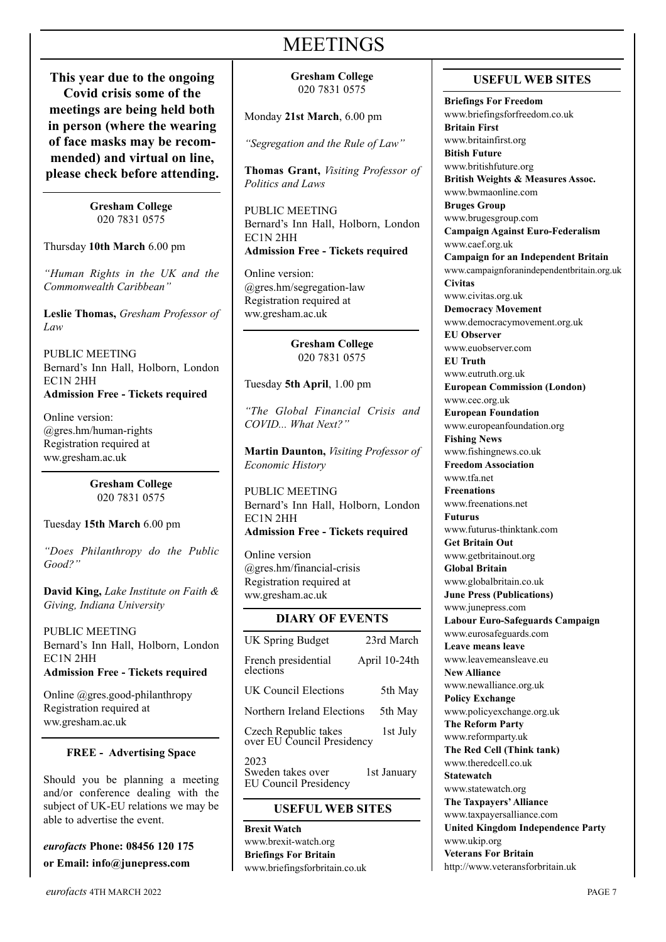### **MEETINGS**

**This year due to the ongoing**  $\parallel$  Gresham College  $\parallel$  USEFUL WEB SITES **Covid crisis some of the meetings are being held both in person (where the wearing of face masks may be recommended) and virtual on line, please check before attending.**

**Gresham College** 020 7831 0575

Thursday **10th March** 6.00 pm

*"Human Rights in the UK and the Commonwealth Caribbean"*

**Leslie Thomas,** *Gresham Professor of Law*

PUBLIC MEETING Bernard's Inn Hall, Holborn, London EC1N 2HH **Admission Free - Tickets required**

Online version: @gres.hm/human-rights Registration required at ww.gresham.ac.uk

> **Gresham College** 020 7831 0575

Tuesday **15th March** 6.00 pm

*"Does Philanthropy do the Public Good?"*

**David King,** *Lake Institute on Faith & Giving, Indiana University*

PUBLIC MEETING Bernard's Inn Hall, Holborn, London EC1N 2HH **Admission Free - Tickets required**

Online @gres.good-philanthropy Registration required at ww.gresham.ac.uk

#### **FREE - Advertising Space**

Should you be planning a meeting and/or conference dealing with the subject of UK-EU relations we may be able to advertise the event.

*eurofacts* **Phone: 08456 120 175 or Email: info@junepress.com**

**Gresham College** 020 7831 0575

Monday **21st March**, 6.00 pm

*"Segregation and the Rule of Law"*

**Thomas Grant,** *Visiting Professor of Politics and Laws*

PUBLIC MEETING Bernard's Inn Hall, Holborn, London EC1N 2HH **Admission Free - Tickets required**

Online version: @gres.hm/segregation-law Registration required at ww.gresham.ac.uk

> **Gresham College** 020 7831 0575

Tuesday **5th April**, 1.00 pm

*"The Global Financial Crisis and COVID... What Next?"*

**Martin Daunton,** *Visiting Professor of Economic History*

PUBLIC MEETING Bernard's Inn Hall, Holborn, London EC1N 2HH **Admission Free - Tickets required**

Online version @gres.hm/financial-crisis Registration required at ww.gresham.ac.uk

#### **DIARY OF EVENTS**

| <b>UK Spring Budget</b>                                   | 23rd March    |
|-----------------------------------------------------------|---------------|
| French presidential<br>elections                          | April 10-24th |
| UK Council Elections                                      | 5th May       |
| Northern Ireland Elections                                | 5th May       |
| Czech Republic takes<br>over EU Council Presidency        | 1st July      |
| 2023<br>Sweden takes over<br><b>EU Council Presidency</b> | 1st January   |

#### **USEFUL WEB SITES**

**Brexit Watch** www.brexit-watch.org **Briefings For Britain** www.briefingsforbritain.co.uk

**Briefings For Freedom** www.briefingsforfreedom.co.uk **Britain First** www.britainfirst.org **Bitish Future** www.britishfuture.org **British Weights & Measures Assoc.** www.bwmaonline.com **Bruges Group** www.brugesgroup.com **Campaign Against Euro-Federalism** www.caef.org.uk **Campaign for an Independent Britain** www.campaignforanindependentbritain.org.uk **Civitas** www.civitas.org.uk **Democracy Movement** www.democracymovement.org.uk **EU Observer** www.euobserver.com **EU Truth** www.eutruth.org.uk **European Commission (London)** www.cec.org.uk **European Foundation** www.europeanfoundation.org **Fishing News** www.fishingnews.co.uk **Freedom Association** www.tfa.net **Freenations** www.freenations.net **Futurus** www.futurus-thinktank.com **Get Britain Out** www.getbritainout.org **Global Britain** www.globalbritain.co.uk **June Press (Publications)** www.junepress.com **Labour Euro-Safeguards Campaign** www.eurosafeguards.com **Leave means leave** www.leavemeansleave.eu **New Alliance** www.newalliance.org.uk **Policy Exchange** www.policyexchange.org.uk **The Reform Party** www.reformparty.uk **The Red Cell (Think tank)** www.theredcell.co.uk **Statewatch** www.statewatch.org **The Taxpayers'Alliance** www.taxpayersalliance.com **United Kingdom Independence Party** www.ukip.org **Veterans For Britain** http://www.veteransforbritain.uk